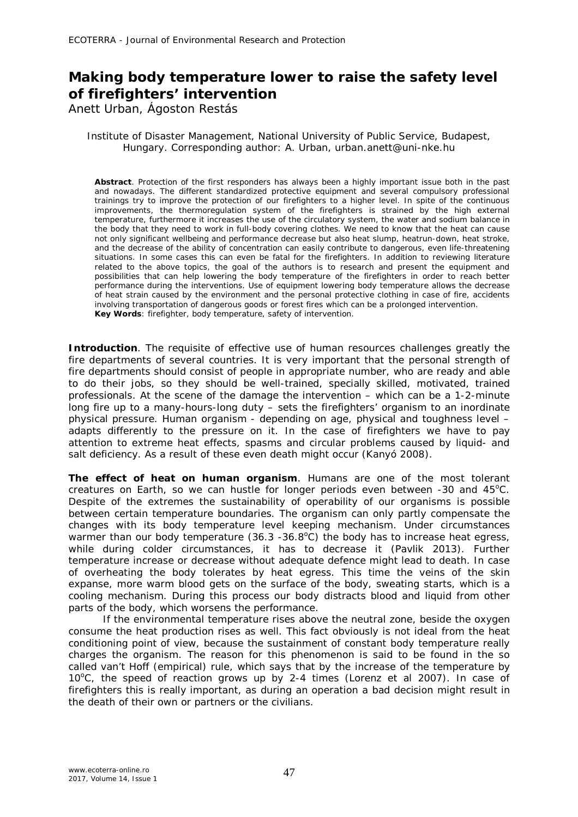## **Making body temperature lower to raise the safety level of firefighters' intervention**

Anett Urban, Ágoston Restás

## Institute of Disaster Management, National University of Public Service, Budapest, Hungary. Corresponding author: A. Urban, urban.anett@uni-nke.hu

**Abstract**. Protection of the first responders has always been a highly important issue both in the past and nowadays. The different standardized protective equipment and several compulsory professional trainings try to improve the protection of our firefighters to a higher level. In spite of the continuous improvements, the thermoregulation system of the firefighters is strained by the high external temperature, furthermore it increases the use of the circulatory system, the water and sodium balance in the body that they need to work in full-body covering clothes. We need to know that the heat can cause not only significant wellbeing and performance decrease but also heat slump, heatrun-down, heat stroke, and the decrease of the ability of concentration can easily contribute to dangerous, even life-threatening situations. In some cases this can even be fatal for the firefighters. In addition to reviewing literature related to the above topics, the goal of the authors is to research and present the equipment and possibilities that can help lowering the body temperature of the firefighters in order to reach better performance during the interventions. Use of equipment lowering body temperature allows the decrease of heat strain caused by the environment and the personal protective clothing in case of fire, accidents involving transportation of dangerous goods or forest fires which can be a prolonged intervention. **Key Words**: firefighter, body temperature, safety of intervention.

**Introduction**. The requisite of effective use of human resources challenges greatly the fire departments of several countries. It is very important that the personal strength of fire departments should consist of people in appropriate number, who are ready and able to do their jobs, so they should be well-trained, specially skilled, motivated, trained professionals. At the scene of the damage the intervention – which can be a 1-2-minute long fire up to a many-hours-long duty - sets the firefighters' organism to an inordinate physical pressure. Human organism - depending on age, physical and toughness level – adapts differently to the pressure on it. In the case of firefighters we have to pay attention to extreme heat effects, spasms and circular problems caused by liquid- and salt deficiency. As a result of these even death might occur (Kanyó 2008).

**The effect of heat on human organism**. Humans are one of the most tolerant creatures on Earth, so we can hustle for longer periods even between  $-30$  and  $45^{\circ}$ C. Despite of the extremes the sustainability of operability of our organisms is possible between certain temperature boundaries. The organism can only partly compensate the changes with its body temperature level keeping mechanism. Under circumstances warmer than our body temperature  $(36.3 - 36.8^{\circ}\text{C})$  the body has to increase heat egress, while during colder circumstances, it has to decrease it (Pavlik 2013). Further temperature increase or decrease without adequate defence might lead to death. In case of overheating the body tolerates by heat egress. This time the veins of the skin expanse, more warm blood gets on the surface of the body, sweating starts, which is a cooling mechanism. During this process our body distracts blood and liquid from other parts of the body, which worsens the performance.

If the environmental temperature rises above the neutral zone, beside the oxygen consume the heat production rises as well. This fact obviously is not ideal from the heat conditioning point of view, because the sustainment of constant body temperature really charges the organism. The reason for this phenomenon is said to be found in the so called van't Hoff (empirical) rule, which says that by the increase of the temperature by  $10^{\circ}$ C, the speed of reaction grows up by 2-4 times (Lorenz et al 2007). In case of firefighters this is really important, as during an operation a bad decision might result in the death of their own or partners or the civilians.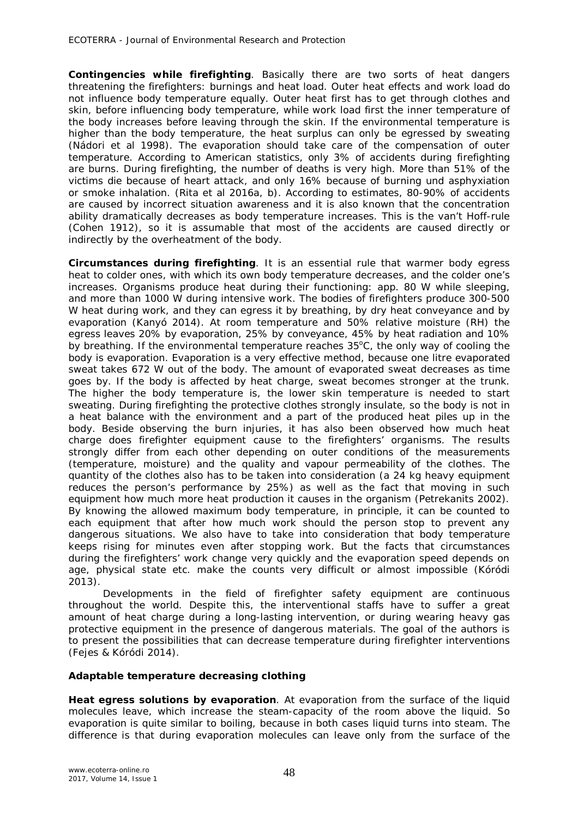**Contingencies while firefighting**. Basically there are two sorts of heat dangers threatening the firefighters: burnings and heat load. Outer heat effects and work load do not influence body temperature equally. Outer heat first has to get through clothes and skin, before influencing body temperature, while work load first the inner temperature of the body increases before leaving through the skin. If the environmental temperature is higher than the body temperature, the heat surplus can only be egressed by sweating (Nádori et al 1998). The evaporation should take care of the compensation of outer temperature. According to American statistics, only 3% of accidents during firefighting are burns. During firefighting, the number of deaths is very high. More than 51% of the victims die because of heart attack, and only 16% because of burning und asphyxiation or smoke inhalation. (Rita et al 2016a, b). According to estimates, 80-90% of accidents are caused by incorrect situation awareness and it is also known that the concentration ability dramatically decreases as body temperature increases. This is the van't Hoff-rule (Cohen 1912), so it is assumable that most of the accidents are caused directly or indirectly by the overheatment of the body.

**Circumstances during firefighting**. It is an essential rule that warmer body egress heat to colder ones, with which its own body temperature decreases, and the colder one's increases. Organisms produce heat during their functioning: app. 80 W while sleeping, and more than 1000 W during intensive work. The bodies of firefighters produce 300-500 W heat during work, and they can egress it by breathing, by dry heat conveyance and by evaporation (Kanyó 2014). At room temperature and 50% relative moisture (RH) the egress leaves 20% by evaporation, 25% by conveyance, 45% by heat radiation and 10% by breathing. If the environmental temperature reaches  $35^{\circ}$ C, the only way of cooling the body is evaporation. Evaporation is a very effective method, because one litre evaporated sweat takes 672 W out of the body. The amount of evaporated sweat decreases as time goes by. If the body is affected by heat charge, sweat becomes stronger at the trunk. The higher the body temperature is, the lower skin temperature is needed to start sweating. During firefighting the protective clothes strongly insulate, so the body is not in a heat balance with the environment and a part of the produced heat piles up in the body. Beside observing the burn injuries, it has also been observed how much heat charge does firefighter equipment cause to the firefighters' organisms. The results strongly differ from each other depending on outer conditions of the measurements (temperature, moisture) and the quality and vapour permeability of the clothes. The quantity of the clothes also has to be taken into consideration (a 24 kg heavy equipment reduces the person's performance by 25%) as well as the fact that moving in such equipment how much more heat production it causes in the organism (Petrekanits 2002). By knowing the allowed maximum body temperature, in principle, it can be counted to each equipment that after how much work should the person stop to prevent any dangerous situations. We also have to take into consideration that body temperature keeps rising for minutes even after stopping work. But the facts that circumstances during the firefighters' work change very quickly and the evaporation speed depends on age, physical state etc. make the counts very difficult or almost impossible (Kóródi 2013).

Developments in the field of firefighter safety equipment are continuous throughout the world. Despite this, the interventional staffs have to suffer a great amount of heat charge during a long-lasting intervention, or during wearing heavy gas protective equipment in the presence of dangerous materials. The goal of the authors is to present the possibilities that can decrease temperature during firefighter interventions (Fejes & Kóródi 2014).

## **Adaptable temperature decreasing clothing**

**Heat egress solutions by evaporation**. At evaporation from the surface of the liquid molecules leave, which increase the steam-capacity of the room above the liquid. So evaporation is quite similar to boiling, because in both cases liquid turns into steam. The difference is that during evaporation molecules can leave only from the surface of the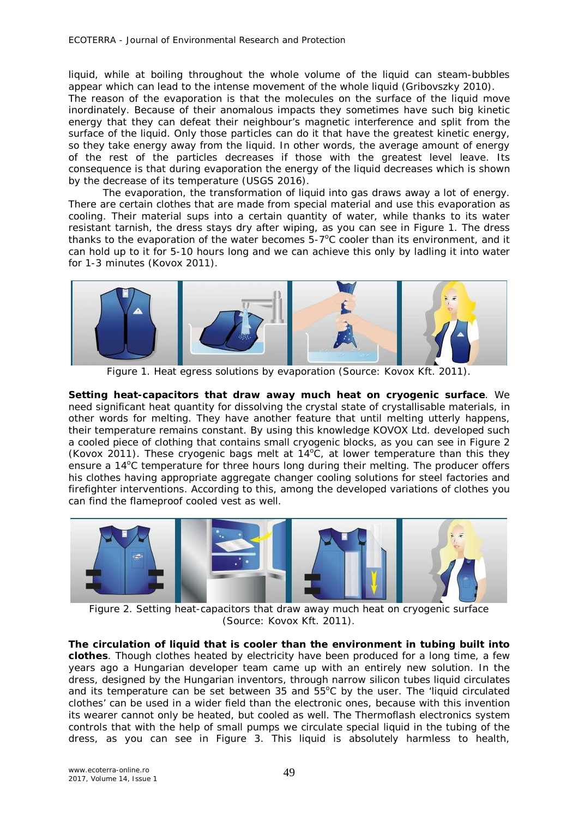liquid, while at boiling throughout the whole volume of the liquid can steam-bubbles appear which can lead to the intense movement of the whole liquid (Gribovszky 2010). The reason of the evaporation is that the molecules on the surface of the liquid move inordinately. Because of their anomalous impacts they sometimes have such big kinetic energy that they can defeat their neighbour's magnetic interference and split from the surface of the liquid. Only those particles can do it that have the greatest kinetic energy, so they take energy away from the liquid. In other words, the average amount of energy of the rest of the particles decreases if those with the greatest level leave. Its consequence is that during evaporation the energy of the liquid decreases which is shown by the decrease of its temperature (USGS 2016).

The evaporation, the transformation of liquid into gas draws away a lot of energy. There are certain clothes that are made from special material and use this evaporation as cooling. Their material sups into a certain quantity of water, while thanks to its water resistant tarnish, the dress stays dry after wiping, as you can see in Figure 1. The dress thanks to the evaporation of the water becomes  $5-7^{\circ}$ C cooler than its environment, and it can hold up to it for 5-10 hours long and we can achieve this only by ladling it into water for 1-3 minutes (Kovox 2011).



Figure 1. Heat egress solutions by evaporation (Source: Kovox Kft. 2011).

*Setting heat-capacitors that draw away much heat on cryogenic surface.* We need significant heat quantity for dissolving the crystal state of crystallisable materials, in other words for melting. They have another feature that until melting utterly happens, their temperature remains constant. By using this knowledge KOVOX Ltd. developed such a cooled piece of clothing that contains small cryogenic blocks, as you can see in Figure 2 (Kovox 2011). These cryogenic bags melt at  $14^{\circ}$ C, at lower temperature than this they ensure a 14<sup>o</sup>C temperature for three hours long during their melting. The producer offers his clothes having appropriate aggregate changer cooling solutions for steel factories and firefighter interventions. According to this, among the developed variations of clothes you can find the flameproof cooled vest as well.



Figure 2. Setting heat-capacitors that draw away much heat on cryogenic surface (Source: Kovox Kft. 2011).

*The circulation of liquid that is cooler than the environment in tubing built into clothes.* Though clothes heated by electricity have been produced for a long time, a few years ago a Hungarian developer team came up with an entirely new solution. In the dress, designed by the Hungarian inventors, through narrow silicon tubes liquid circulates and its temperature can be set between 35 and  $55^{\circ}$ C by the user. The 'liquid circulated clothes' can be used in a wider field than the electronic ones, because with this invention its wearer cannot only be heated, but cooled as well. The Thermoflash electronics system controls that with the help of small pumps we circulate special liquid in the tubing of the dress, as you can see in Figure 3. This liquid is absolutely harmless to health,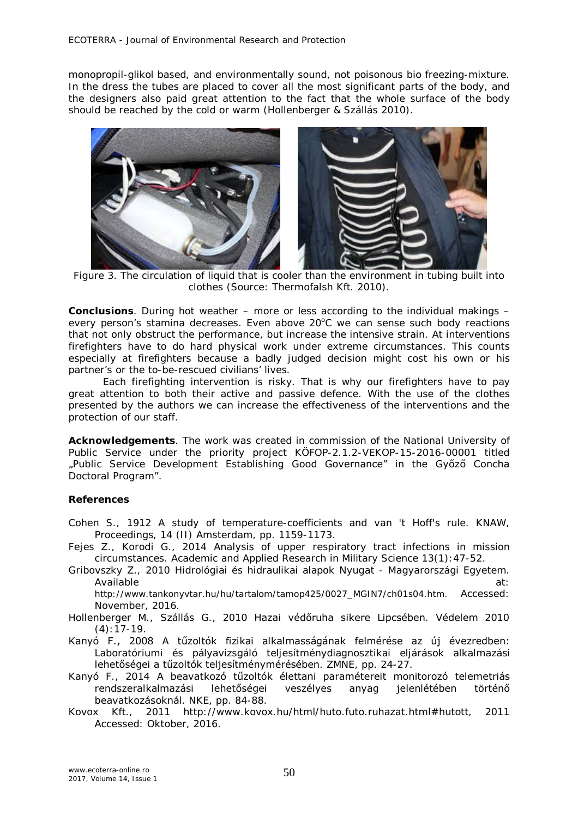monopropil-glikol based, and environmentally sound, not poisonous bio freezing-mixture. In the dress the tubes are placed to cover all the most significant parts of the body, and the designers also paid great attention to the fact that the whole surface of the body should be reached by the cold or warm (Hollenberger & Szállás 2010).



Figure 3. The circulation of liquid that is cooler than the environment in tubing built into clothes (Source: Thermofalsh Kft. 2010).

**Conclusions**. During hot weather – more or less according to the individual makings – every person's stamina decreases. Even above  $20^{\circ}$ C we can sense such body reactions that not only obstruct the performance, but increase the intensive strain. At interventions firefighters have to do hard physical work under extreme circumstances. This counts especially at firefighters because a badly judged decision might cost his own or his partner's or the to-be-rescued civilians' lives.

Each firefighting intervention is risky. That is why our firefighters have to pay great attention to both their active and passive defence. With the use of the clothes presented by the authors we can increase the effectiveness of the interventions and the protection of our staff.

**Acknowledgements**. The work was created in commission of the National University of Public Service under the priority project KÖFOP-2.1.2-VEKOP-15-2016-00001 titled "Public Service Development Establishing Good Governance" in the Győző Concha Doctoral Program".

## **References**

- Cohen S., 1912 A study of temperature-coefficients and van 't Hoff's rule. KNAW, Proceedings, 14 (II) Amsterdam, pp. 1159-1173.
- Fejes Z., Korodi G., 2014 Analysis of upper respiratory tract infections in mission circumstances. Academic and Applied Research in Military Science 13(1):47-52.
- Gribovszky Z., 2010 Hidrológiai és hidraulikai alapok Nyugat Magyarországi Egyetem. Available at: the state of the state of the state of the state of the state of the state of the state of the state of the state of the state of the state of the state of the state of the state of the state of the state of

http://www.tankonyvtar.hu/hu/tartalom/tamop425/0027\_MGIN7/ch01s04.htm. Accessed: November, 2016.

- Hollenberger M., Szállás G., 2010 Hazai védőruha sikere Lipcsében. Védelem 2010  $(4):17-19.$
- Kanyó F., 2008 A tűzoltók fizikai alkalmasságának felmérése az új évezredben: Laboratóriumi és pályavizsgáló teljesítménydiagnosztikai eljárások alkalmazási lehetőségei a tűzoltók teljesítménymérésében. ZMNE, pp. 24-27.
- Kanyó F., 2014 A beavatkozó tűzoltók élettani paramétereit monitorozó telemetriás rendszeralkalmazási lehetőségei veszélyes anyag jelenlétében történő beavatkozásoknál. NKE, pp. 84-88.
- Kovox Kft., 2011 http://www.kovox.hu/html/huto.futo.ruhazat.html#hutott, 2011 Accessed: Oktober, 2016.